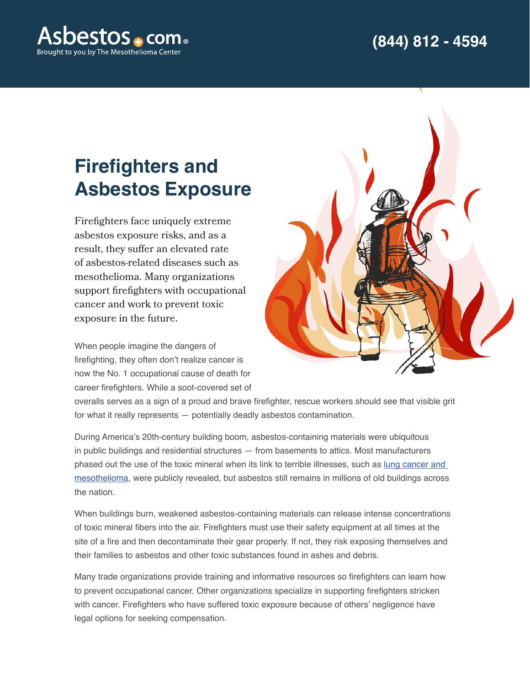

## **Firefighters and Asbestos Exposure**

Firefighters face uniquely extreme asbestos exposure risks, and as a result, they suffer an elevated rate of asbestos-related diseases such as mesothelioma. Many organizations support firefighters with occupational cancer and work to prevent toxic exposure in the future.

When people imagine the dangers of firefighting, they often don't realize cancer is now the No. 1 occupational cause of death for career firefighters. While a soot-covered set of



overalls serves as a sign of a proud and brave firefighter, rescue workers should see that visible grit for what it really represents — potentially deadly asbestos contamination.

During America's 20th-century building boom, asbestos-containing materials were ubiquitous in public buildings and residential structures — from basements to attics. Most manufacturers phased out the use of the toxic mineral when its link to terrible illnesses, such as [lung cancer and](https://www.asbestos.com/cancer/lung-cancer/mesothelioma/)  [mesothelioma](https://www.asbestos.com/cancer/lung-cancer/mesothelioma/), were publicly revealed, but asbestos still remains in millions of old buildings across the nation.

When buildings burn, weakened asbestos-containing materials can release intense concentrations of toxic mineral fibers into the air. Firefighters must use their safety equipment at all times at the site of a fire and then decontaminate their gear properly. If not, they risk exposing themselves and their families to asbestos and other toxic substances found in ashes and debris.

Many trade organizations provide training and informative resources so firefighters can learn how to prevent occupational cancer. Other organizations specialize in supporting firefighters stricken with cancer. Firefighters who have suffered toxic exposure because of others' negligence have legal options for seeking compensation.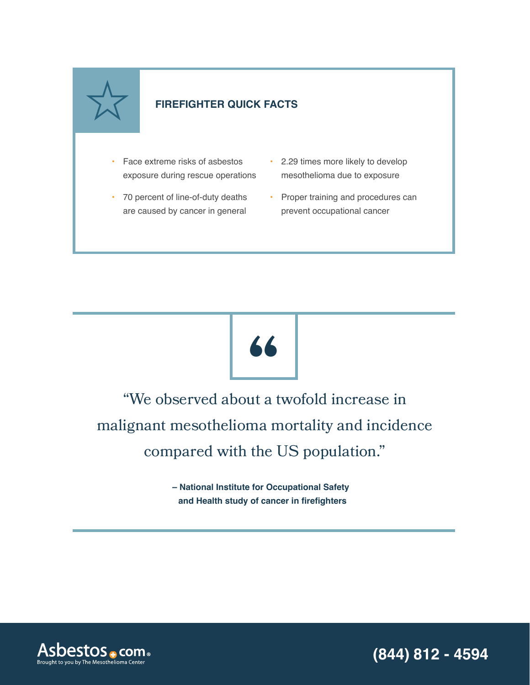

### **FIREFIGHTER QUICK FACTS**

- Face extreme risks of asbestos exposure during rescue operations
- 70 percent of line-of-duty deaths are caused by cancer in general
- 2.29 times more likely to develop mesothelioma due to exposure
- Proper training and procedures can prevent occupational cancer



"We observed about a twofold increase in malignant mesothelioma mortality and incidence compared with the US population."

> **– National Institute for Occupational Safety and Health study of cancer in firefighters**

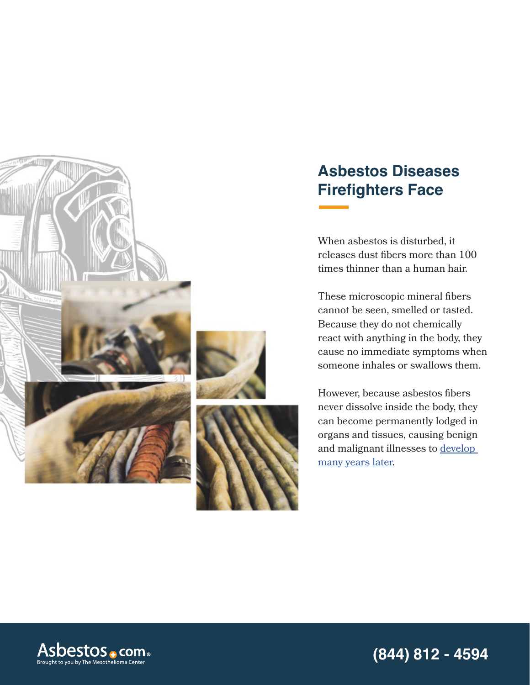

## **Asbestos Diseases Firefighters Face**

When asbestos is disturbed, it releases dust fibers more than 100 times thinner than a human hair.

These microscopic mineral fibers cannot be seen, smelled or tasted. Because they do not chemically react with anything in the body, they cause no immediate symptoms when someone inhales or swallows them.

However, because asbestos fibers never dissolve inside the body, they can become permanently lodged in organs and tissues, causing benign and malignant illnesses to [develop](https://www.asbestos.com/mesothelioma/latency-period/)  [many years later](https://www.asbestos.com/mesothelioma/latency-period/).

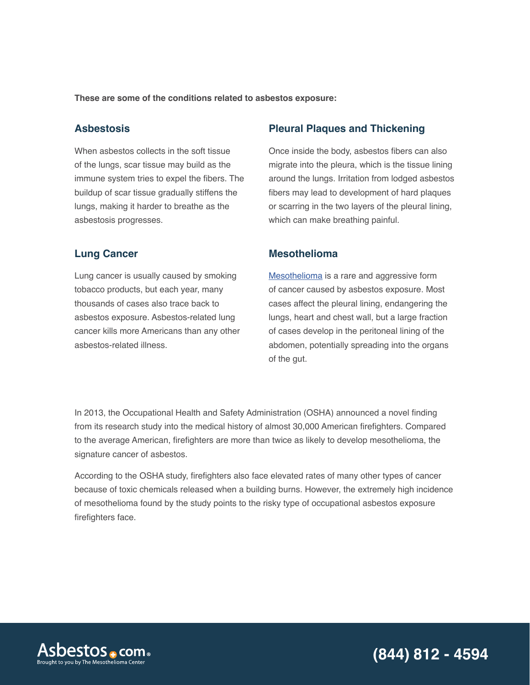**These are some of the conditions related to asbestos exposure:**

#### **Asbestosis**

When asbestos collects in the soft tissue of the lungs, scar tissue may build as the immune system tries to expel the fibers. The buildup of scar tissue gradually stiffens the lungs, making it harder to breathe as the asbestosis progresses.

#### **Lung Cancer**

Lung cancer is usually caused by smoking tobacco products, but each year, many thousands of cases also trace back to asbestos exposure. Asbestos-related lung cancer kills more Americans than any other asbestos-related illness.

#### **Pleural Plaques and Thickening**

Once inside the body, asbestos fibers can also migrate into the pleura, which is the tissue lining around the lungs. Irritation from lodged asbestos fibers may lead to development of hard plaques or scarring in the two layers of the pleural lining, which can make breathing painful.

#### **Mesothelioma**

[Mesothelioma](https://www.asbestos.com/mesothelioma/) is a rare and aggressive form of cancer caused by asbestos exposure. Most cases affect the pleural lining, endangering the lungs, heart and chest wall, but a large fraction of cases develop in the peritoneal lining of the abdomen, potentially spreading into the organs of the gut.

In 2013, the Occupational Health and Safety Administration (OSHA) announced a novel finding from its research study into the medical history of almost 30,000 American firefighters. Compared to the average American, firefighters are more than twice as likely to develop mesothelioma, the signature cancer of asbestos.

According to the OSHA study, firefighters also face elevated rates of many other types of cancer because of toxic chemicals released when a building burns. However, the extremely high incidence of mesothelioma found by the study points to the risky type of occupational asbestos exposure firefighters face.

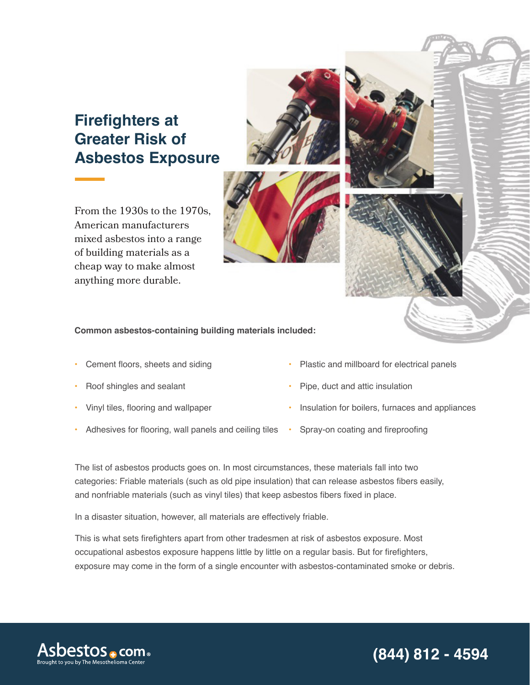## **Firefighters at Greater Risk of Asbestos Exposure**

From the 1930s to the 1970s, American manufacturers mixed asbestos into a range of building materials as a cheap way to make almost anything more durable.

**Common asbestos-containing building materials included:**

- Cement floors, sheets and siding
- Roof shingles and sealant
- Vinyl tiles, flooring and wallpaper
- Adhesives for flooring, wall panels and ceiling tiles Spray-on coating and fireproofing
- Plastic and millboard for electrical panels
- Pipe, duct and attic insulation
- Insulation for boilers, furnaces and appliances
- 

The list of asbestos products goes on. In most circumstances, these materials fall into two categories: Friable materials (such as old pipe insulation) that can release asbestos fibers easily, and nonfriable materials (such as vinyl tiles) that keep asbestos fibers fixed in place.

In a disaster situation, however, all materials are effectively friable.

This is what sets firefighters apart from other tradesmen at risk of asbestos exposure. Most occupational asbestos exposure happens little by little on a regular basis. But for firefighters, exposure may come in the form of a single encounter with asbestos-contaminated smoke or debris.



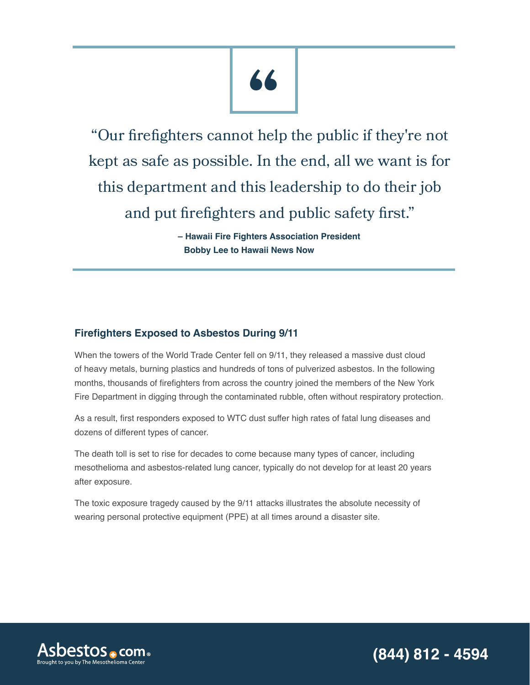"Our firefighters cannot help the public if they're not kept as safe as possible. In the end, all we want is for this department and this leadership to do their job and put firefighters and public safety first."

> **– Hawaii Fire Fighters Association President Bobby Lee to Hawaii News Now**

#### **Firefighters Exposed to Asbestos During 9/11**

When the towers of the World Trade Center fell on 9/11, they released a massive dust cloud of heavy metals, burning plastics and hundreds of tons of pulverized asbestos. In the following months, thousands of firefighters from across the country joined the members of the New York Fire Department in digging through the contaminated rubble, often without respiratory protection.

As a result, first responders exposed to WTC dust suffer high rates of fatal lung diseases and dozens of different types of cancer.

The death toll is set to rise for decades to come because many types of cancer, including mesothelioma and asbestos-related lung cancer, typically do not develop for at least 20 years after exposure.

The toxic exposure tragedy caused by the 9/11 attacks illustrates the absolute necessity of wearing personal protective equipment (PPE) at all times around a disaster site.

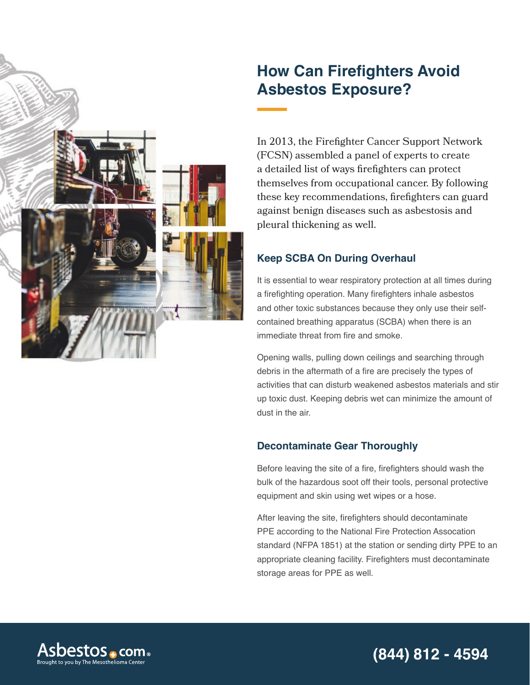

## **How Can Firefighters Avoid Asbestos Exposure?**

In 2013, the Firefighter Cancer Support Network (FCSN) assembled a panel of experts to create a detailed list of ways firefighters can protect themselves from occupational cancer. By following these key recommendations, firefighters can guard against benign diseases such as asbestosis and pleural thickening as well.

#### **Keep SCBA On During Overhaul**

It is essential to wear respiratory protection at all times during a firefighting operation. Many firefighters inhale asbestos and other toxic substances because they only use their selfcontained breathing apparatus (SCBA) when there is an immediate threat from fire and smoke.

Opening walls, pulling down ceilings and searching through debris in the aftermath of a fire are precisely the types of activities that can disturb weakened asbestos materials and stir up toxic dust. Keeping debris wet can minimize the amount of dust in the air.

#### **Decontaminate Gear Thoroughly**

Before leaving the site of a fire, firefighters should wash the bulk of the hazardous soot off their tools, personal protective equipment and skin using wet wipes or a hose.

After leaving the site, firefighters should decontaminate PPE according to the National Fire Protection Assocation standard (NFPA 1851) at the station or sending dirty PPE to an appropriate cleaning facility. Firefighters must decontaminate storage areas for PPE as well.

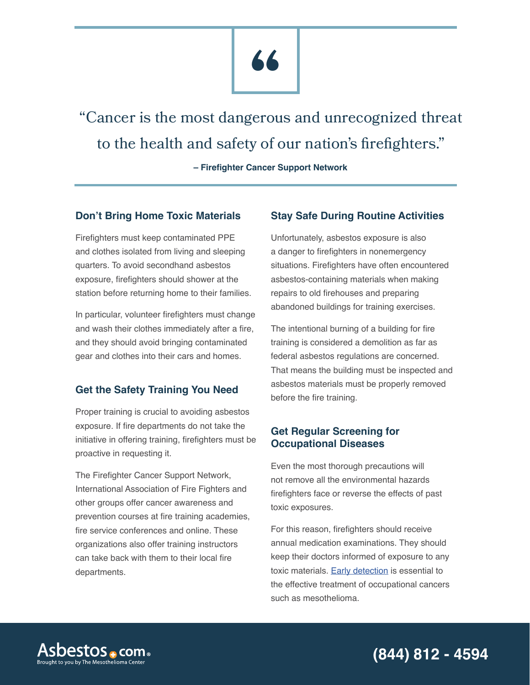# **"**

"Cancer is the most dangerous and unrecognized threat to the health and safety of our nation's firefighters."

**– Firefighter Cancer Support Network**

#### **Don't Bring Home Toxic Materials**

Firefighters must keep contaminated PPE and clothes isolated from living and sleeping quarters. To avoid secondhand asbestos exposure, firefighters should shower at the station before returning home to their families.

In particular, volunteer firefighters must change and wash their clothes immediately after a fire, and they should avoid bringing contaminated gear and clothes into their cars and homes.

#### **Get the Safety Training You Need**

Proper training is crucial to avoiding asbestos exposure. If fire departments do not take the initiative in offering training, firefighters must be proactive in requesting it.

The Firefighter Cancer Support Network, International Association of Fire Fighters and other groups offer cancer awareness and prevention courses at fire training academies, fire service conferences and online. These organizations also offer training instructors can take back with them to their local fire departments.

#### **Stay Safe During Routine Activities**

Unfortunately, asbestos exposure is also a danger to firefighters in nonemergency situations. Firefighters have often encountered asbestos-containing materials when making repairs to old firehouses and preparing abandoned buildings for training exercises.

The intentional burning of a building for fire training is considered a demolition as far as federal asbestos regulations are concerned. That means the building must be inspected and asbestos materials must be properly removed before the fire training.

#### **Get Regular Screening for Occupational Diseases**

Even the most thorough precautions will not remove all the environmental hazards firefighters face or reverse the effects of past toxic exposures.

For this reason, firefighters should receive annual medication examinations. They should keep their doctors informed of exposure to any toxic materials. [Early detection](https://www.asbestos.com/mesothelioma/diagnosis.php) is essential to the effective treatment of occupational cancers such as mesothelioma.

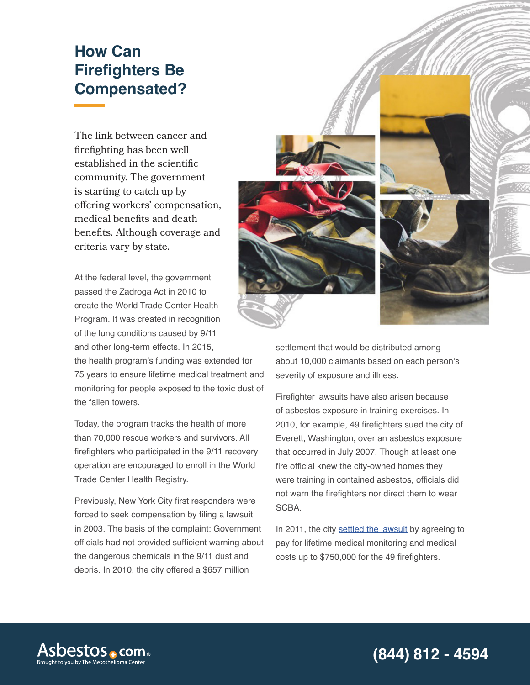## **How Can Firefighters Be Compensated?**

The link between cancer and firefighting has been well established in the scientific community. The government is starting to catch up by offering workers' compensation, medical benefits and death benefits. Although coverage and criteria vary by state.

At the federal level, the government passed the Zadroga Act in 2010 to create the World Trade Center Health Program. It was created in recognition of the lung conditions caused by 9/11 and other long-term effects. In 2015,

the health program's funding was extended for 75 years to ensure lifetime medical treatment and monitoring for people exposed to the toxic dust of the fallen towers.

Today, the program tracks the health of more than 70,000 rescue workers and survivors. All firefighters who participated in the 9/11 recovery operation are encouraged to enroll in the World Trade Center Health Registry.

Previously, New York City first responders were forced to seek compensation by filing a lawsuit in 2003. The basis of the complaint: Government officials had not provided sufficient warning about the dangerous chemicals in the 9/11 dust and debris. In 2010, the city offered a \$657 million



settlement that would be distributed among about 10,000 claimants based on each person's severity of exposure and illness.

Firefighter lawsuits have also arisen because of asbestos exposure in training exercises. In 2010, for example, 49 firefighters sued the city of Everett, Washington, over an asbestos exposure that occurred in July 2007. Though at least one fire official knew the city-owned homes they were training in contained asbestos, officials did not warn the firefighters nor direct them to wear SCBA.

In 2011, the city [settled the lawsuit](https://www.asbestos.com/news/2011/12/27/firefighters-receive-lifetime-health-monitoring-after-dangerous-asbestos-exposure/) by agreeing to pay for lifetime medical monitoring and medical costs up to \$750,000 for the 49 firefighters.